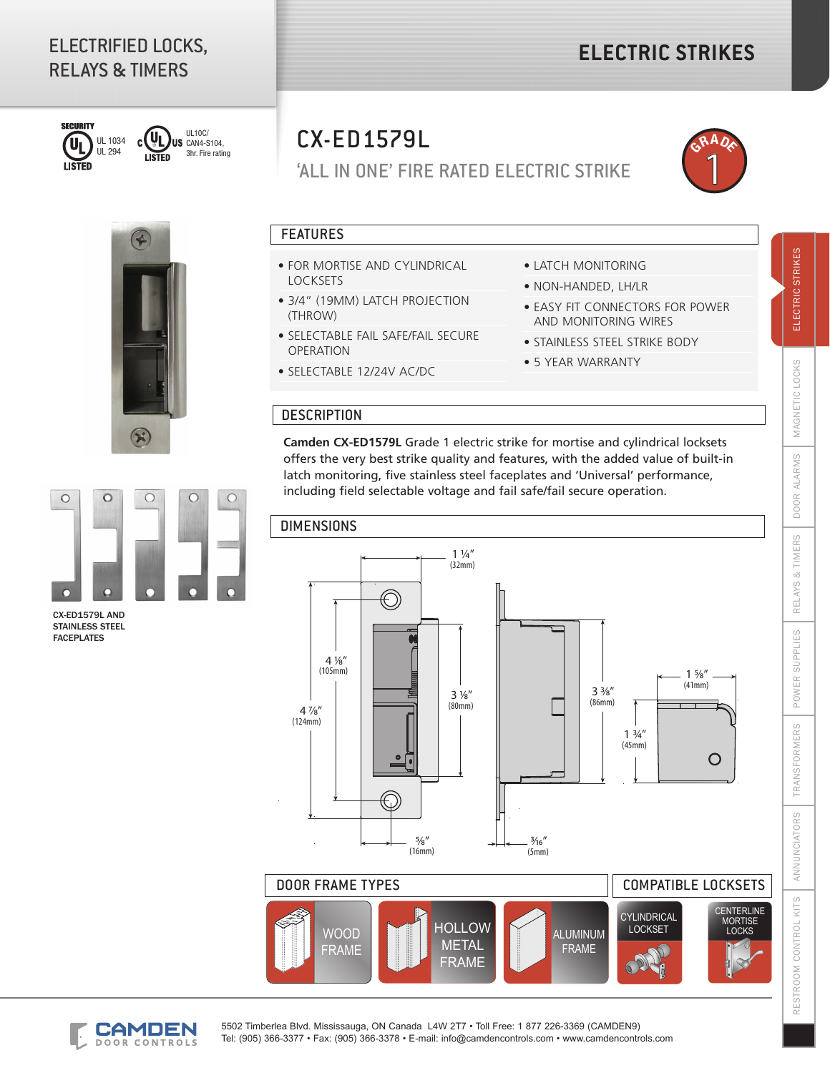# ELECTRIFIED LOCKS, RELAYS & TIMERS



CX-ED1579L AND STAINLESS STEEL FACEPLATES

 $\circ$ 

 $\circ$ 

r

UL10C/ (UL) US CAN4-S104, Ċ 3hr. Fire rating **LISTED** 



 $\circ$ 

 $\circ$ 



'ALL IN ONE' FIRE RATED ELECTRIC STRIKE



### FEATURES

- FOR MORTISE AND CYLINDRICAL LOCKSETS
- 3/4" (19MM) LATCH PROJECTION (THROW)
- SELECTABLE FAIL SAFE/FAIL SECURE OPERATION
- SELECTABLE 12/24V AC/DC
- LATCH MONITORING
- NON-HANDED, LH/LR
- EASY FIT CONNECTORS FOR POWER AND MONITORING WIRES
- STAINLESS STEEL STRIKE BODY
- 5 YEAR WARRANTY

#### **DESCRIPTION**

**Camden CX-ED1579L** Grade 1 electric strike for mortise and cylindrical locksets offers the very best strike quality and features, with the added value of built-in latch monitoring, five stainless steel faceplates and 'Universal' performance, including field selectable voltage and fail safe/fail secure operation.

#### DIMENSIONS







5502 Timberlea Blvd. Mississauga, ON Canada L4W 2T7 • Toll Free: 1 877 226-3369 (CAMDEN9) Tel: (905) 366-3377 • Fax: (905) 366-3378 • E-mail: info@camdencontrols.com • www.camdencontrols.com **STRIKES** 

ELECTRIC

LOCKS